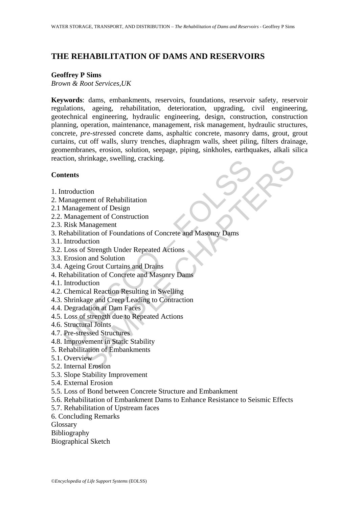# **THE REHABILITATION OF DAMS AND RESERVOIRS**

#### **Geoffrey P Sims**

*Brown & Root Services,UK* 

**Keywords**: dams, embankments, reservoirs, foundations, reservoir safety, reservoir regulations, ageing, rehabilitation, deterioration, upgrading, civil engineering, geotechnical engineering, hydraulic engineering, design, construction, construction planning, operation, maintenance, management, risk management, hydraulic structures, concrete, *pre-stress*ed concrete dams, asphaltic concrete, masonry dams, grout, grout curtains, cut off walls, slurry trenches, diaphragm walls, sheet piling, filters drainage, geomembranes, erosion, solution, seepage, piping, sinkholes, earthquakes, alkali silica reaction, shrinkage, swelling, cracking.

#### **Contents**

- 1. Introduction
- 2. Management of Rehabilitation
- 2.1 Management of Design
- 2.2. Management of Construction
- 2.3. Risk Management
- The State of School (State of School)<br>
Management of Rehabilitation<br>
Management of Design<br>
Management of Design<br>
Management of Construction<br>
Risk Management<br>
Enhabilitation of Foundations of Concrete and Masonry Dams<br>
Intr Finkage, swelling, cracking.<br>
tion<br>
ment of Rehabilitation<br>
ment of Construction<br>
danagement<br>
tation of Foundations of Concrete and Masonry Dams<br>
action<br>
at and Solution<br>
g Grout Curtains and Drains<br>
g Grout Curtains and D 3. Rehabilitation of Foundations of Concrete and Masonry Dams
- 3.1. Introduction
- 3.2. Loss of Strength Under Repeated Actions
- 3.3. Erosion and Solution
- 3.4. Ageing Grout Curtains and Drains
- 4. Rehabilitation of Concrete and Masonry Dams
- 4.1. Introduction
- 4.2. Chemical Reaction Resulting in Swelling
- 4.3. Shrinkage and Creep Leading to Contraction
- 4.4. Degradation at Dam Faces
- 4.5. Loss of strength due to Repeated Actions
- 4.6. Structural Joints
- 4.7. Pre-stressed Structures
- 4.8. Improvement in Static Stability
- 5. Rehabilitation of Embankments
- 5.1. Overview
- 5.2. Internal Erosion
- 5.3. Slope Stability Improvement
- 5.4. External Erosion
- 5.5. Loss of Bond between Concrete Structure and Embankment
- 5.6. Rehabilitation of Embankment Dams to Enhance Resistance to Seismic Effects
- 5.7. Rehabilitation of Upstream faces
- 6. Concluding Remarks
- Glossary
- Bibliography
- Biographical Sketch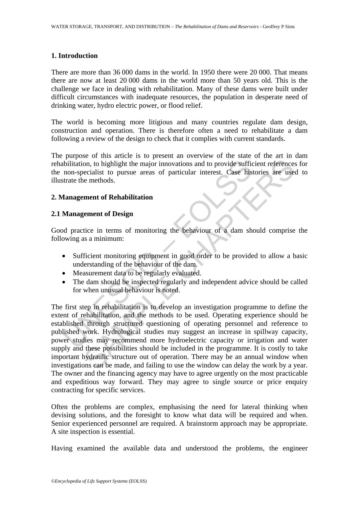#### **1. Introduction**

There are more than 36 000 dams in the world. In 1950 there were 20 000. That means there are now at least 20 000 dams in the world more than 50 years old. This is the challenge we face in dealing with rehabilitation. Many of these dams were built under difficult circumstances with inadequate resources, the population in desperate need of drinking water, hydro electric power, or flood relief.

The world is becoming more litigious and many countries regulate dam design, construction and operation. There is therefore often a need to rehabilitate a dam following a review of the design to check that it complies with current standards.

The purpose of this article is to present an overview of the state of the art in dam rehabilitation, to highlight the major innovations and to provide sufficient references for the non-specialist to pursue areas of particular interest. Case histories are used to illustrate the methods.

### **2. Management of Rehabilitation**

#### **2.1 Management of Design**

Good practice in terms of monitoring the behaviour of a dam should comprise the following as a minimum:

- Sufficient monitoring equipment in good order to be provided to allow a basic understanding of the behaviour of the dam.
- Measurement data to be regularly evaluated.
- The dam should be inspected regularly and independent advice should be called for when unusual behaviour is noted.

Nation, to highlight the major innovations and to provide sufficient<br>
ibilitation, to highlight the major innovations and to provide sufficient<br>
strate the methods.<br> **Examplement of Rehabilitation**<br> **Management of Rehabili** on, to highlight the major innovations and to provide sufficient reference<br>ecialist to pursue areas of particular interest. Case histories are use<br>ecialist to pursue areas of particular interest. Case histories are use<br>eci The first step in rehabilitation is to develop an investigation programme to define the extent of rehabilitation, and the methods to be used. Operating experience should be established through structured questioning of operating personnel and reference to published work. Hydrological studies may suggest an increase in spillway capacity, power studies may recommend more hydroelectric capacity or irrigation and water supply and these possibilities should be included in the programme. It is costly to take important hydraulic structure out of operation. There may be an annual window when investigations can be made, and failing to use the window can delay the work by a year. The owner and the financing agency may have to agree urgently on the most practicable and expeditious way forward. They may agree to single source or price enquiry contracting for specific services.

Often the problems are complex, emphasising the need for lateral thinking when devising solutions, and the foresight to know what data will be required and when. Senior experienced personnel are required. A brainstorm approach may be appropriate. A site inspection is essential.

Having examined the available data and understood the problems, the engineer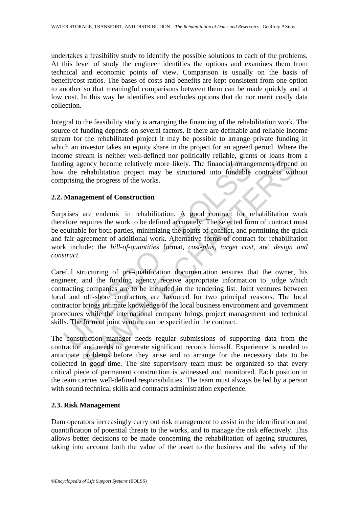undertakes a feasibility study to identify the possible solutions to each of the problems. At this level of study the engineer identifies the options and examines them from technical and economic points of view. Comparison is usually on the basis of benefit/cost ratios. The bases of costs and benefits are kept consistent from one option to another so that meaningful comparisons between them can be made quickly and at low cost. In this way he identifies and excludes options that do nor merit costly data collection.

Integral to the feasibility study is arranging the financing of the rehabilitation work. The source of funding depends on several factors. If there are definable and reliable income stream for the rehabilitated project it may be possible to arrange private funding in which an investor takes an equity share in the project for an agreed period. Where the income stream is neither well-defined nor politically reliable, grants or loans from a funding agency become relatively more likely. The financial arrangements depend on how the rehabilitation project may be structured into fundable contracts without comprising the progress of the works.

## **2.2. Management of Construction**

Surprises are endemic in rehabilitation. A good contract for rehabilitation work therefore requires the work to be defined accurately. The selected form of contract must be equitable for both parties, minimizing the points of conflict, and permitting the quick and fair agreement of additional work. Alternative forms of contract for rehabilitation work include: the *bill-of-quantities* format, *cost-plus, target cost*, and *design and construct*.

ding agency become relatively more likely. The financial arranger the rehabilitation project may be structured into fundable prising the progress of the works.<br> **Management of Construction**<br>
prises are endemic in rehabili ency become relatively more likely. The financial arrangements dependent<br>ency become relatively more likely. The financial arrangements dependent<br>bilitation project may be structured into fundable contracts with<br>the progr Careful structuring of pre-qualification documentation ensures that the owner, his engineer, and the funding agency receive appropriate information to judge which contracting companies are to be included in the tendering list. Joint ventures between local and off-shore contractors are favoured for two principal reasons. The local contractor brings intimate knowledge of the local business environment and government procedures while the international company brings project management and technical skills. The form of joint venture can be specified in the contract.

The construction manager needs regular submissions of supporting data from the contractor and needs to generate significant records himself. Experience is needed to anticipate problems before they arise and to arrange for the necessary data to be collected in good time. The site supervisory team must be organized so that every critical piece of permanent construction is witnessed and monitored. Each position in the team carries well-defined responsibilities. The team must always be led by a person with sound technical skills and contracts administration experience.

### **2.3. Risk Management**

Dam operators increasingly carry out risk management to assist in the identification and quantification of potential threats to the works, and to manage the risk effectively. This allows better decisions to be made concerning the rehabilitation of ageing structures, taking into account both the value of the asset to the business and the safety of the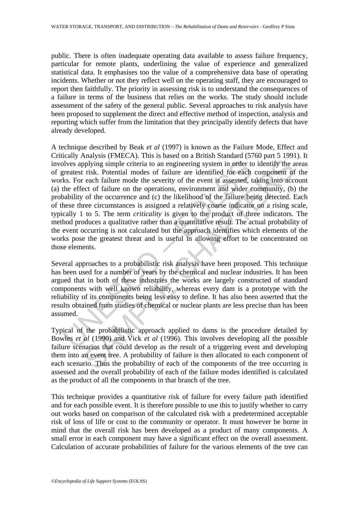public. There is often inadequate operating data available to assess failure frequency, particular for remote plants, underlining the value of experience and generalized statistical data. It emphasises too the value of a comprehensive data base of operating incidents. Whether or not they reflect well on the operating staff, they are encouraged to report then faithfully. The priority in assessing risk is to understand the consequences of a failure in terms of the business that relies on the works. The study should include assessment of the safety of the general public. Several approaches to risk analysis have been proposed to supplement the direct and effective method of inspection, analysis and reporting which suffer from the limitation that they principally identify defects that have already developed.

blves applying simple criteria to an engineering system in order to<br>reatest risk. Potential modes of failure are identified for each<br>ks. For each failure mode the severity of the event is assessed, t<br>the effect of failure phying simple criteria to an engineering system in order to identify the a<br>risk. Potential modes of failure are identified for each component of<br>each railure mode the severity of the event is assessed, taking in<br>to each f A technique described by Beak *et al* (1997) is known as the Failure Mode, Effect and Critically Analysis (FMECA). This is based on a British Standard (5760 part 5 1991). It involves applying simple criteria to an engineering system in order to identify the areas of greatest risk. Potential modes of failure are identified for each component of the works. For each failure mode the severity of the event is assessed, taking into account (a) the effect of failure on the operations, environment and wider community, (b) the probability of the occurrence and (c) the likelihood of the failure being detected. Each of these three circumstances is assigned a relatively coarse indicator on a rising scale, typically 1 to 5. The term *criticality* is given to the product of three indicators. The method produces a qualitative rather than a quantitative result. The actual probability of the event occurring is not calculated but the approach identifies which elements of the works pose the greatest threat and is useful in allowing effort to be concentrated on those elements.

Several approaches to a probabilistic risk analysis have been proposed. This technique has been used for a number of years by the chemical and nuclear industries. It has been argued that in both of these industries the works are largely constructed of standard components with well known reliability, whereas every dam is a prototype with the reliability of its components being less easy to define. It has also been asserted that the results obtained from studies of chemical or nuclear plants are less precise than has been assumed.

Typical of the probabilistic approach applied to dams is the procedure detailed by Bowles *et al* (1990) and Vick *et al* (1996). This involves developing all the possible failure scenarios that could develop as the result of a triggering event and developing them into an event tree. A probability of failure is then allocated to each component of each scenario. Thus the probability of each of the components of the tree occurring is assessed and the overall probability of each of the failure modes identified is calculated as the product of all the components in that branch of the tree.

This technique provides a quantitative risk of failure for every failure path identified and for each possible event. It is therefore possible to use this to justify whether to carry out works based on comparison of the calculated risk with a predetermined acceptable risk of loss of life or cost to the community or operator. It must however be borne in mind that the overall risk has been developed as a product of many components. A small error in each component may have a significant effect on the overall assessment. Calculation of accurate probabilities of failure for the various elements of the tree can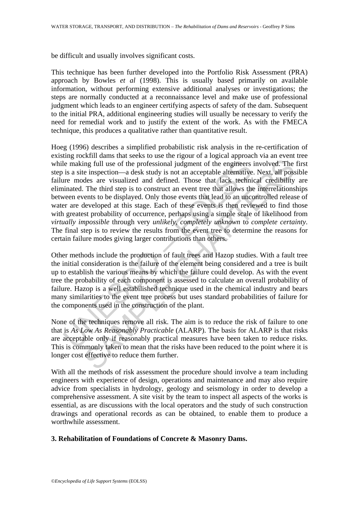be difficult and usually involves significant costs.

This technique has been further developed into the Portfolio Risk Assessment (PRA) approach by Bowles *et al* (1998). This is usually based primarily on available information, without performing extensive additional analyses or investigations; the steps are normally conducted at a reconnaissance level and make use of professional judgment which leads to an engineer certifying aspects of safety of the dam. Subsequent to the initial PRA, additional engineering studies will usually be necessary to verify the need for remedial work and to justify the extent of the work. As with the FMECA technique, this produces a qualitative rather than quantitative result.

le making full use of the professional judgment of the engineers<br>is a site inspection—a desk study is not an acceptable alternative<br>rer modes are visualized and defined. Those that lack techni<br>inated. The third step is to ing full use of the professional judgment of the engineers involved. The einspection—a desk study is not an acceptable alternative. Next, all poss<br>care visualized and defined. Those that lack teehnical redibitive<br>The thir Hoeg (1996) describes a simplified probabilistic risk analysis in the re-certification of existing rockfill dams that seeks to use the rigour of a logical approach via an event tree while making full use of the professional judgment of the engineers involved. The first step is a site inspection—a desk study is not an acceptable alternative. Next, all possible failure modes are visualized and defined. Those that lack technical credibility are eliminated. The third step is to construct an event tree that allows the interrelationships between events to be displayed. Only those events that lead to an uncontrolled release of water are developed at this stage. Each of these events is then reviewed to find those with greatest probability of occurrence, perhaps using a simple scale of likelihood from *virtually impossible* through very *unlikely, completely unknown* to *complete certainty*. The final step is to review the results from the event tree to determine the reasons for certain failure modes giving larger contributions than others.

Other methods include the production of fault trees and Hazop studies. With a fault tree the initial consideration is the failure of the element being considered and a tree is built up to establish the various means by which the failure could develop. As with the event tree the probability of each component is assessed to calculate an overall probability of failure. Hazop is a well estabilished technique used in the chemical industry and bears many similarities to the event tree process but uses standard probabilities of failure for the components used in the construction of the plant.

None of the techniques remove all risk. The aim is to reduce the risk of failure to one that is *As Low As Reasonably Practicable* (ALARP). The basis for ALARP is that risks are acceptable only if reasonably practical measures have been taken to reduce risks. This is commonly taken to mean that the risks have been reduced to the point where it is longer cost effective to reduce them further.

With all the methods of risk assessment the procedure should involve a team including engineers with experience of design, operations and maintenance and may also require advice from specialists in hydrology, geology and seismology in order to develop a comprehensive assessment. A site visit by the team to inspect all aspects of the works is essential, as are discussions with the local operators and the study of such construction drawings and operational records as can be obtained, to enable them to produce a worthwhile assessment.

### **3. Rehabilitation of Foundations of Concrete & Masonry Dams.**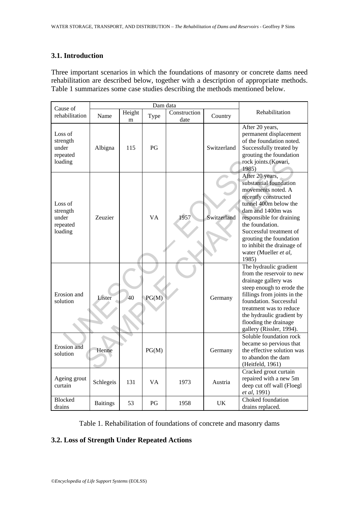#### **3.1. Introduction**

Three important scenarios in which the foundations of masonry or concrete dams need rehabilitation are described below, together with a description of appropriate methods. Table 1 summarizes some case studies describing the methods mentioned below.

| Cause of                                            |                 |             |           |                      |             |                                                                                                                                                                                                                                                                                                            |
|-----------------------------------------------------|-----------------|-------------|-----------|----------------------|-------------|------------------------------------------------------------------------------------------------------------------------------------------------------------------------------------------------------------------------------------------------------------------------------------------------------------|
| rehabilitation                                      | Name            | Height<br>m | Type      | Construction<br>date | Country     | Rehabilitation                                                                                                                                                                                                                                                                                             |
| Loss of<br>strength<br>under<br>repeated<br>loading | Albigna         | 115         | PG        |                      | Switzerland | After 20 years,<br>permanent displacement<br>of the foundation noted.<br>Successfully treated by<br>grouting the foundation<br>rock joints.(Kovari,<br>1985)                                                                                                                                               |
| Loss of<br>strength<br>under<br>repeated<br>loading | Zeuzier         |             | <b>VA</b> | 1957                 | Switzerland | After 20 years,<br>substantial foundation<br>movements noted. A<br>recently constructed<br>tunnel 400m below the<br>dam and 1400m was<br>responsible for draining<br>the foundation.<br>Successful treatment of<br>grouting the foundation<br>to inhibit the drainage of<br>water (Mueller et al,<br>1985) |
| Erosion and<br>solution                             | Lister          | 40          | PG(M)     |                      | Germany     | The hydraulic gradient<br>from the reservoir to new<br>drainage gallery was<br>steep enough to erode the<br>fillings from joints in the<br>foundation. Successful<br>treatment was to reduce<br>the hydraulic gradient by<br>flooding the drainage<br>gallery (Rissler, 1994).                             |
| Erosion and<br>solution                             | Henne           |             | PG(M)     |                      | Germany     | Soluble foundation rock<br>became so pervious that<br>the effective solution was<br>to abandon the dam<br>(Heitfeld, 1961)                                                                                                                                                                                 |
| Ageing grout<br>curtain                             | Schlegeis       | 131         | VA        | 1973                 | Austria     | Cracked grout curtain<br>repaired with a new 5m<br>deep cut off wall (Floegl<br>et al, 1991)                                                                                                                                                                                                               |
| <b>Blocked</b><br>drains                            | <b>Baitings</b> | 53          | PG        | 1958                 | UK          | Choked foundation<br>drains replaced.                                                                                                                                                                                                                                                                      |

Table 1. Rehabilitation of foundations of concrete and masonry dams

# **3.2. Loss of Strength Under Repeated Actions**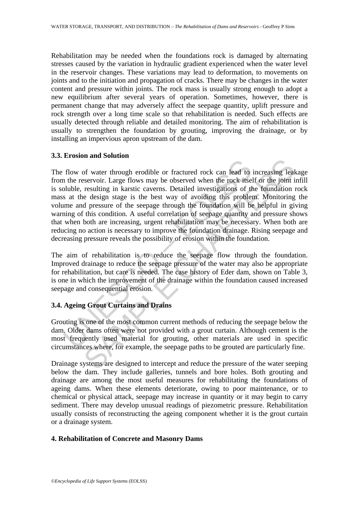Rehabilitation may be needed when the foundations rock is damaged by alternating stresses caused by the variation in hydraulic gradient experienced when the water level in the reservoir changes. These variations may lead to deformation, to movements on joints and to the initiation and propagation of cracks. There may be changes in the water content and pressure within joints. The rock mass is usually strong enough to adopt a new equilibrium after several years of operation. Sometimes, however, there is permanent change that may adversely affect the seepage quantity, uplift pressure and rock strength over a long time scale so that rehabilitation is needed. Such effects are usually detected through reliable and detailed monitoring. The aim of rehabilitation is usually to strengthen the foundation by grouting, improving the drainage, or by installing an impervious apron upstream of the dam.

### **3.3. Erosion and Solution**

flow of water through erodible or fractured rock can lead to<br>n the reservoir. Large flows may be observed when the rock itsel<br>buble, resulting in karstic caverns. Detailed investigations of the<br>s at the design stage is the In the state of the state of the state of reacting technomic system and the state of system contents are reacting in resulting in karstic caverns. Detailed investigations of the foundation re design stage is the best way o The flow of water through erodible or fractured rock can lead to increasing leakage from the reservoir. Large flows may be observed when the rock itself or the joint infill is soluble, resulting in karstic caverns. Detailed investigations of the foundation rock mass at the design stage is the best way of avoiding this problem. Monitoring the volume and pressure of the seepage through the foundation will be helpful in giving warning of this condition. A useful correlation of seepage quantity and pressure shows that when both are increasing, urgent rehabilitation may be necessary. When both are reducing no action is necessary to improve the foundation drainage. Rising seepage and decreasing pressure reveals the possibility of erosion within the foundation.

The aim of rehabilitation is to reduce the seepage flow through the foundation. Improved drainage to reduce the seepage pressure of the water may also be appropriate for rehabilitation, but care is needed. The case history of Eder dam, shown on Table 3, is one in which the improvement of the drainage within the foundation caused increased seepage and consequential erosion.

## **3.4. Ageing Grout Curtains and Drains**

Grouting is one of the most common current methods of reducing the seepage below the dam. Older dams often were not provided with a grout curtain. Although cement is the most frequently used material for grouting, other materials are used in specific circumstances where, for example, the seepage paths to be grouted are particularly fine.

Drainage systems are designed to intercept and reduce the pressure of the water seeping below the dam. They include galleries, tunnels and bore holes. Both grouting and drainage are among the most useful measures for rehabilitating the foundations of ageing dams. When these elements deteriorate, owing to poor maintenance, or to chemical or physical attack, seepage may increase in quantity or it may begin to carry sediment. There may develop unusual readings of piezometric pressure. Rehabilitation usually consists of reconstructing the ageing component whether it is the grout curtain or a drainage system.

### **4. Rehabilitation of Concrete and Masonry Dams**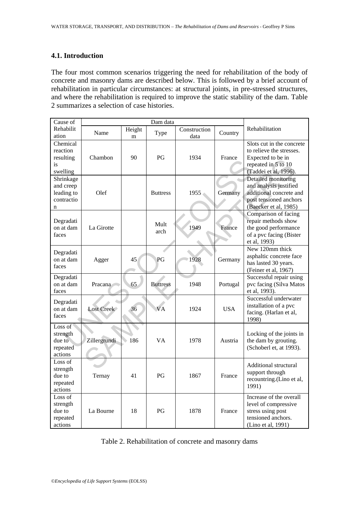#### **4.1. Introduction**

The four most common scenarios triggering the need for rehabilitation of the body of concrete and masonry dams are described below. This is followed by a brief account of rehabilitation in particular circumstances: at structural joints, in pre-stressed structures, and where the rehabilitation is required to improve the static stability of the dam. Table 2 summarizes a selection of case histories.

| Cause of                                                |                |     |                 |              |            |                                                                                                                             |
|---------------------------------------------------------|----------------|-----|-----------------|--------------|------------|-----------------------------------------------------------------------------------------------------------------------------|
| Rehabilit                                               | Height<br>Name |     | Type            | Construction | Country    | Rehabilitation                                                                                                              |
| ation                                                   |                | m   |                 | data         |            |                                                                                                                             |
| Chemical<br>reaction<br>resulting<br>is<br>swelling     | Chambon        | 90  | PG              | 1934         | France     | Slots cut in the concrete<br>to relieve the stresses.<br>Expected to be in<br>repeated in 5 to 10<br>(Taddei et al, 1996).  |
| Shrinkage<br>and creep<br>leading to<br>contractio<br>n | Olef           |     | <b>Buttress</b> | 1955         | Germany    | Detailed monitoring<br>and analysis justified<br>additional concrete and<br>post tensioned anchors<br>(Baecker et al, 1985) |
| Degradati<br>on at dam<br>faces                         | La Girotte     |     | Mult<br>arch    | 1949         | France     | Comparison of facing<br>repair methods show<br>the good performance<br>of a pvc facing (Bister<br>et al, 1993)              |
| Degradati<br>on at dam<br>faces                         | Agger          | 45  | PG              | 1928         | Germany    | New 120mm thick<br>asphaltic concrete face<br>has lasted 30 years.<br>(Feiner et al, 1967)                                  |
| Degradati<br>on at dam<br>faces                         | Pracana        | 65  | <b>Buttress</b> | 1948         | Portugal   | Successful repair using<br>pvc facing (Silva Matos<br>et al, 1993).                                                         |
| Degradati<br>on at dam<br>faces                         | Lost Creek     | 36  | <b>VA</b>       | 1924         | <b>USA</b> | Successful underwater<br>installation of a pvc<br>facing. (Harlan et al,<br>1998)                                           |
| Loss of<br>strength<br>due to<br>repeated<br>actions    | Zillergrundi   | 186 | <b>VA</b>       | 1978         | Austria    | Locking of the joints in<br>the dam by grouting.<br>(Schoberl et, at 1993).                                                 |
| Loss of<br>strength<br>due to<br>repeated<br>actions    | Ternay         | 41  | PG              | 1867         | France     | Additional structural<br>support through<br>recountring.(Lino et al,<br>1991)                                               |
| Loss of<br>strength<br>due to<br>repeated<br>actions    | La Bourne      | 18  | PG              | 1878         | France     | Increase of the overall<br>level of compressive<br>stress using post<br>tensioned anchors.<br>(Lino et al, 1991)            |

Table 2. Rehabilitation of concrete and masonry dams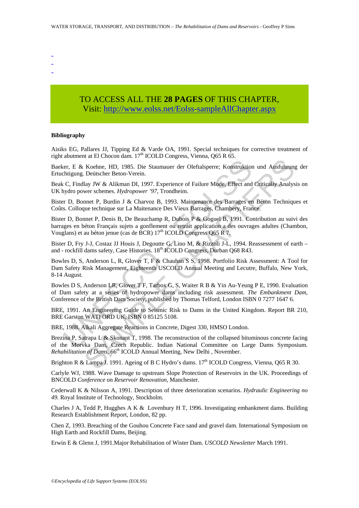- -
- -
- -

# TO ACCESS ALL THE **28 PAGES** OF THIS CHAPTER, Visit: [http://www.eolss.net/Eolss-sampleAllChapter.aspx](https://www.eolss.net/ebooklib/sc_cart.aspx?File=E2-12-01-05)

#### **Bibliography**

Aisiks EG, Pallares JJ, Tipping Ed & Varde OA, 1991. Special techniques for corrective treatment of right abutment at El Chocon dam.  $17<sup>th</sup>$  ICOLD Congress, Vienna, O65 R 65.

Baeker, E & Koehne, HD, 1985. Die Staumauer der Oleftalsperre; Konstruktion und Ausfuhrung der Ertuchtigung. Deütscher Beton-Verein.

Beak C, Findlay JW & Alikman DI, 1997. Experience of Failure Mode, Effect and Critically Analysis on UK hydro power schemes. *Hydropower '97*, Trondheim.

Bister D, Bonnet P, Burdin J & Charvoz B, 1993. Maintenance des Barrages en Béton Techniques et Coûts. Colloque technique sur La Maitenance Des Vieux Barrages, Chambery, France.

er, E & Koehne, HD, 1985. Die Staumauer der Oleftalsperre; Konstruktior<br>chtigung. Deütscher Beton-Verein.<br>C, Findlay JW & Alikman DI, 1997. Experience of Failure Mode, Effect and<br>ydro power schemes. *Hydropower* '97, Trond Bister D, Bonnet P, Denis B, De Beauchamp R, Dubois P & Goguel B, 1991. Contribution au suivi des barrages en béton Français sujets a gonflement ou retrait application a des ouvrages adultes (Chambon, Vouglans) et au béton jenue (cas de BCR) 17<sup>th</sup> ICOLD Congress Q65 R 7.

Bister D, Fry J-J, Costaz JJ Houis J, Degoutte G, Lino M, & Rizzoli J-L, 1994. Reassessment of earth – and - rockfill dams safety, Case Histories.  $18<sup>th</sup>$  ICOLD Congress, Durban Q68 R43.

Bowles D, S, Anderson L, R, Glover T, F & Chauhan S S, 1998. Portfolio Risk Assessment: A Tool for Dam Safety Risk Management, Eighteenth USCOLD Annual Meeting and Lecutre, Buffalo, New York, 8-14 August.

Bowles D S, Anderson LR, Glover T F, Tarbox G, S, Waiter R B & Yin Au-Yeung P E, 1990. Evaluation of Dam safety at a series of hydropower dams including risk assessment. *The Embankment Dam,*  Conference of the British Dam Society, published by Thomas Telford, London ISBN 0 7277 1647 6.

BRE, 1991. An Engineering Guide to Seismic Risk to Dams in the United Kingdom. Report BR 210, BRE Garston WATFORD UK, ISBN 0 85125 5108.

BRE, 1988. Alkali Aggregate Reactions in Concrete, Digest 330, HMSO London.

Reference HD, 1985. Die Staumauer der Oleftalspere; Konstruktion und Ausfuhrung<br>
Refehre. HD, 1985. Die Staumauer der Oleftalspere; Konstruktion und Ausfuhrung<br>
Die USENer Beton-Verein.<br>
Ilay JW & Alikman DI, 1997. Experi Brezina P, Satrapa L & Skonant T, 1998. The reconstruction of the collapsed bituminous concrete facing of the Morvka Dam, Czech Republic. Indian National Committee on Large Dams Symposium. *Rehabilitation of Dams*, 66<sup>th</sup> ICOLD Annual Meeting, New Delhi, November.

Brighton R & Lampa J. 1991. Ageing of B C Hydro's dams.  $17<sup>th</sup>$  ICOLD Congress, Vienna, Q65 R 30.

Carlyle WJ, 1988. Wave Damage to upstream Slope Protection of Reservoirs in the UK. Proceedings of BNCOLD *Conference* on *Reservoir Renovation*, Manchester.

Cederwall K & Nilsson A, 1991. Description of three deterioration scenarios. *Hydraulic Engineering no 49.* Royal Institute of Technology, Stockholm.

Charles J A, Tedd P, Hugghes A K & Lovenbury H T, 1996. Investigating embankment dams. Building Research Establishment Report, London, 82 pp.

Chen Z, 1993. Breaching of the Gouhou Concrete Face sand and gravel dam. International Symposium on High Earth and Rockfill Dams, Beijing.

Erwin E & Glenn J, 1991.Major Rehabilitation of Wister Dam. *USCOLD Newsletter* March 1991.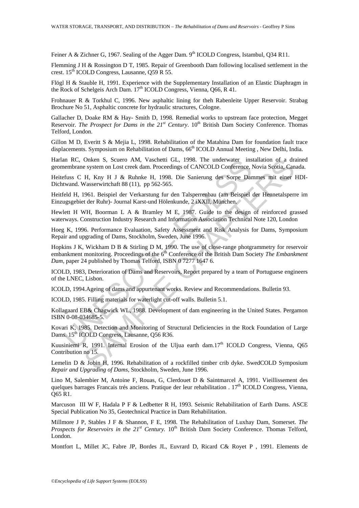Feiner A & Zichner G, 1967. Sealing of the Agger Dam. 9<sup>th</sup> ICOLD Congress, Istambul, Q34 R11.

Flemming J H & Rossington D T, 1985. Repair of Greenbooth Dam following localised settlement in the crest. 15<sup>th</sup> ICOLD Congress, Lausanne, O59 R 55.

Flögl H & Stauble H, 1991. Experience with the Supplementary Installation of an Elastic Diaphragm in the Rock of Schelgeis Arch Dam.  $17<sup>th</sup>$  ICOLD Congress, Vienna, Q66, R 41.

Frohnauer R & Torkhul C, 1996. New asphaltic lining for theh Rabenleite Upper Reservoir. Strabag Brochure No 51, Asphaltic concrete for hydraulic structures, Cologne.

Gallacher D, Doake RM & Hay- Smith D, 1998. Remedial works to upstream face protection, Megget Reservoir. *The Prospect for Dams in the 21<sup>st</sup> Century*. 10<sup>th</sup> British Dam Society Conference. Thomas Telford, London.

Gillon M D, Everitt S & Mejia L, 1998. Rehabilitation of the Matahina Dam for foundation fault trace displacements. Symposium on Rehabilitation of Dams, 66<sup>th</sup> ICOLD Annual Meeting, New Delhi, India.

Harlan RC, Onken S, Scuero AM, Vaschetti GL, 1998. The underwater installation of a drained geomembrane system on Lost creek dam. Proceedings of CANCOLD Conference, Novia Scotia, Canada.

Heitefuss C H, Kny H J & Ruhnke H, 1998. Die Sanierung des Sorpe Dammes mit einer HDI-Dichtwand. Wasserwirtchaft 88 (11), pp 562-565.

Heitfeld H, 1961. Beispiel der Verkarstung fur den Talsperrenbau (am Beispiel der Hennetalsperre im Einzugsgebiet der Ruhr)- Journal Karst-und Hölenkunde, 2 iXXII, München.

Hewlett H WH, Boorman L A & Bramley M E, 1987. Guide to the design of reinforced grassed waterways. Construction Industry Research and Information Association Technical Note 120, London

Hoeg K, 1996. Performance Evaluation, Safety Assessment and Risk Analysis for Dams, Symposium Repair and upgrading of Dams, Stockholm, Sweden, June 1996.

an RC, Onken S, Scuero AM, Vaschetti GL, 1998. The underwater insembrane system on Lost creek dam. Proceedings of CANCOLD Conference, I<br>efuss C H, Kny H J & Ruhnke H, 1998. Die Sanierung des Sorpe Dan<br>twand. Wasserwirtcha Onken S, Seuero AM, Vaschetti Gil, 1998. The underwater installation of a draw<br>experimentalization of a drawing Generation and the Kingdom I. Henderwater installation of a drawing tes Sorpe Dammes mit einer a<br>Nasservirtcha Hopkins J K, Wickham D B & Stirling D M, 1990. The use of close-range photgrammetry for reservoir embankment monitoring. Proceedings of the 6<sup>th</sup> Conference of the British Dam Society *The Embankment Dam,* paper 24 published by Thomas Telford, ISBN 0 7277 1647 6.

ICOLD, 1983, Deterioration of Dams and Reservoirs, Report prepared by a team of Portuguese engineers of the LNEC, Lisbon.

ICOLD, 1994.Ageing of dams and appurtenant works. Review and Recommendations. Bulletin 93.

ICOLD, 1985. Filling materials for waterlight cut-off walls. Bulletin 5.1.

Kollagaard EB& Chagwick WL, 1988. Development of dam engineering in the United States. Pergamon ISBN 0-08-034685-5.

Kovari K, 1985. Detection and Monitoring of Structural Deficiencies in the Rock Foundation of Large Dams. 15<sup>th</sup> ICOLD Congress, Lausanne, Q56 R36.

Kuusiniemi R, 1991. Internal Erosion of the Uljua earth dam. $17<sup>th</sup>$  ICOLD Congress, Vienna, Q65 Contribution no 15.

Lemelin D & Jobin H, 1996. Rehabilitation of a rockfilled timber crib dyke. SwedCOLD Symposium *Repair and Upgrading of Dams*, Stockholm, Sweden, June 1996.

Lino M, Salembier M, Antoine F, Rouas, G, Clerdouet D & Saintmarcel A, 1991. Vieillissement des quelques barrages Francais trés anciens. Pratique der leur rehabilitation .  $17<sup>th</sup>$  ICOLD Congress, Vienna, Q65 R1.

Marcuson III W F, Hadala P F & Ledbetter R H, 1993. Seismic Rehabilitation of Earth Dams. ASCE Special Publication No 35, Geotechnical Practice in Dam Rehabilitation.

Millmore J P, Stables J F & Shannon, F E, 1998. The Rehabilitation of Luxhay Dam, Somerset. *The*  Prospects for Reservoirs in the 21<sup>st</sup> Century. 10<sup>th</sup> British Dam Society Conference. Thomas Telford, London.

Montfort L, Millet JC, Fabre JP, Bordes JL, Euvrard D, Ricard C& Royet P , 1991. Elements de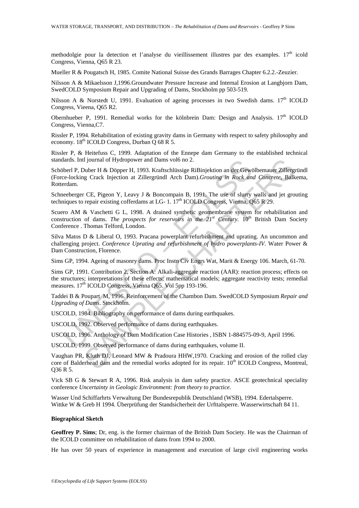methodolgie pour la detection et l'analyse du vieillissement illustres par des examples.  $17<sup>th</sup>$  icold Congress, Vienna, Q65 R 23.

Mueller R & Pougatsch H, 1985. Comite National Suisse des Grands Barrages Chapter 6.2.2.-Zeuzier.

Nilsson A & Mikaelsson J,1996.Groundwater Pressure Increase and Internal Erosion at Langbjorn Dam, SwedCOLD Symposium Repair and Upgrading of Dams, Stockholm pp 503-519.

Nilsson A & Norstedt U, 1991. Evaluation of ageing processes in two Swedish dams.  $17<sup>th</sup>$  ICOLD Congress, Vieena, Q65 R2.

Obernhueber P, 1991. Remedial works for the kölnbrein Dam: Design and Analysis. 17<sup>th</sup> ICOLD Congress, Vienna,C7.

Rissler P, 1994. Rehabilitation of existing gravity dams in Germany with respect to safety philosophy and economy. 18th ICOLD Congress, Durban Q 68 R 5.

Rissler P, & Heitefuss C, 1999. Adaptation of the Ennepe dam Germany to the established technical standards. Intl journal of Hydropower and Dams vol6 no 2.

lards. Intl journal of Hydropower and Dams vol6 no 2.<br>berl P, Duber H & Döpper H, 1993. Kraftschlüssige RiBinjektion an der Gewinder P, Duber H & Döpper H, 1993. Kraftschlüssige RiBinjektion an der Gewind<br>erdenger GE, Pige Il journal of Hydropower and Dams vol6 no 2.<br>
Juber H & Döpper H, 1993. Kraftschlüssige RiBinjektion an der Gewölbemauer Zillerge Crack Injection at Zillergründl Arch Dam).*Grouting in Rock and Concrete*, Balk<br>
CE, Pigeon Schöberl P, Duber H & Döpper H, 1993. Kraftschlüssige RiBinjektion an der Gewölbemauer Zillergründl (Force-locking Crack Injection at Zillergründl Arch Dam).*Grouting in Rock and Concrete*, Balkema, Rotterdam.

Schneeberger CE, Pigeon Y, Leavy J & Boncompain B, 1991. The use of slurry walls and jet grouting techniques to repair existing cofferdams at LG- 1.  $17<sup>th</sup>$  ICOLD Congress, Vienna, Q65 R 29.

Scuero AM & Vaschetti G L, 1998. A drained synthetic geomembrane system for rehabilitation and construction of dams. *The prospects for reservoirs in the 21<sup>st</sup> Century*. 10<sup>th</sup> British Dam Society Conference . Thomas Telford, London.

Silva Matos D & Liberal O, 1993. Pracana powerplant refurbishment and uprating. An uncommon and challenging project. *Conference Uprating and refurbishment of hydro powerplants-IV*. Water Power & Dam Construction, Florence.

Sims GP, 1994. Ageing of masonry dams. Proc Instn Civ Engrs Wat, Marit & Energy 106. March, 61-70.

Sims GP, 1991. Contribution 2, Section A: Alkali-aggregate reaction (AAR): reaction process; effects on the structures; interpretations of these effects; mathematical models; aggregate reactivity tests; remedial measures. 17<sup>th</sup> ICOLD Congress, Vienna Q65. Vol 5pp 193-196.

Taddei B & Poupart M, 1996. Reinforcement of the Chambon Dam. SwedCOLD Symposium *Repair and Upgrading of Dams*. Stockholm.

USCOLD, 1984. Bibliography on performance of dams during earthquakes.

USCOLD, 1992. Observed performance of dams during earthquakes.

USCOLD, 1996. Anthology of Dam Modification Case Histories , ISBN 1-884575-09-9, April 1996.

USCOLD, 1999. Observed performance of dams during earthquakes, volume II.

Vaughan PR, Kluth DJ, Leonard MW & Pradoura HHW,1970. Cracking and erosion of the rolled clay core of Balderhead dam and the remedial works adopted for its repair. 10<sup>th</sup> ICOLD Congress, Montreal, Q36 R 5.

Vick SB G & Stewart R A, 1996. Risk analysis in dam safety practice. ASCE geotechnical speciality conference *Uncertainty in Geologic Environment: from theory to practice.* 

Wasser Und Schiffarhrts Verwaltung Der Bundesrepublik Deutschland (WSB), 1994. Edertalsperre. Wittke W & Greb H 1994. Überprüfung der Standsicherheit der Urfttalsperre. Wasserwirtschaft 84 11.

#### **Biographical Sketch**

**Geoffrey P. Sims**; Dr, eng. is the former chairman of the British Dam Society. He was the Chairman of the ICOLD committee on rehabilitation of dams from 1994 to 2000.

He has over 50 years of experience in management and execution of large civil engineering works